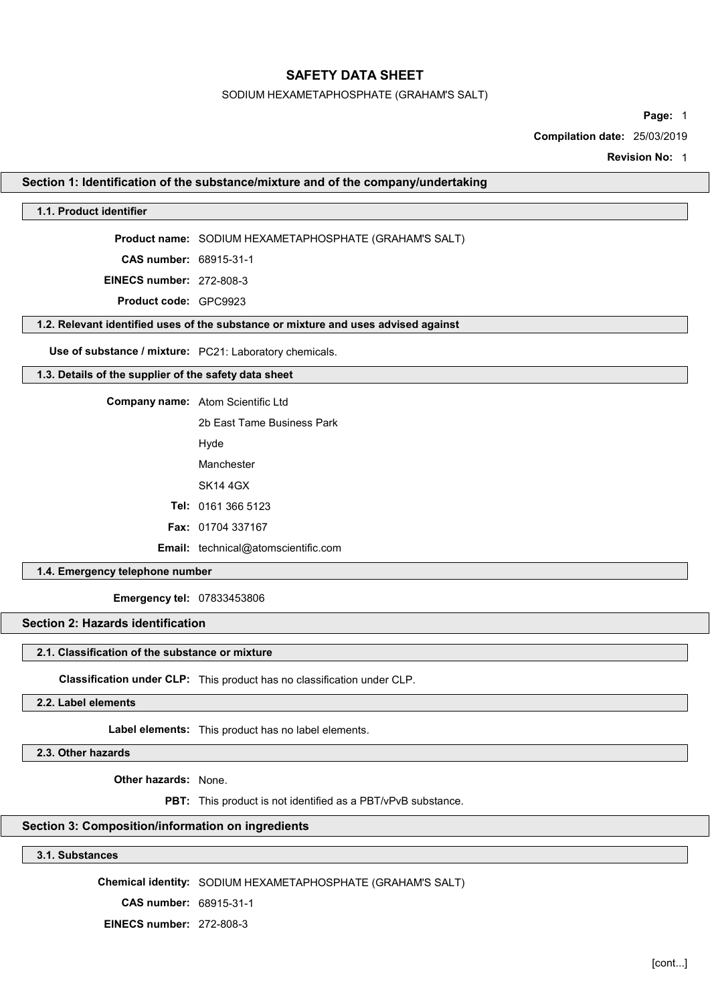#### SODIUM HEXAMETAPHOSPHATE (GRAHAM'S SALT)

Page: 1

Compilation date: 25/03/2019

Revision No: 1

#### Section 1: Identification of the substance/mixture and of the company/undertaking

#### 1.1. Product identifier

Product name: SODIUM HEXAMETAPHOSPHATE (GRAHAM'S SALT)

CAS number: 68915-31-1

EINECS number: 272-808-3

Product code: GPC9923

#### 1.2. Relevant identified uses of the substance or mixture and uses advised against

Use of substance / mixture: PC21: Laboratory chemicals.

# 1.3. Details of the supplier of the safety data sheet

Company name: Atom Scientific Ltd

2b East Tame Business Park

Hyde

Manchester

SK14 4GX

Tel: 0161 366 5123

Fax: 01704 337167

Email: technical@atomscientific.com

#### 1.4. Emergency telephone number

Emergency tel: 07833453806

# Section 2: Hazards identification

#### 2.1. Classification of the substance or mixture

Classification under CLP: This product has no classification under CLP.

#### 2.2. Label elements

Label elements: This product has no label elements.

2.3. Other hazards

Other hazards: None.

PBT: This product is not identified as a PBT/vPvB substance.

#### Section 3: Composition/information on ingredients

3.1. Substances

Chemical identity: SODIUM HEXAMETAPHOSPHATE (GRAHAM'S SALT)

CAS number: 68915-31-1

EINECS number: 272-808-3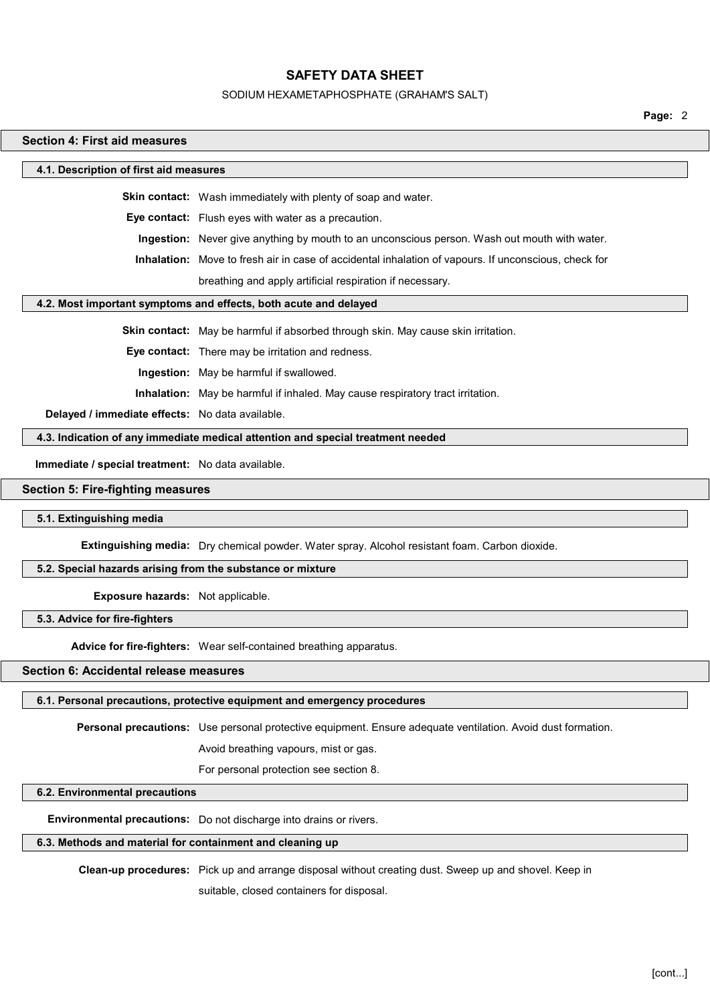#### SODIUM HEXAMETAPHOSPHATE (GRAHAM'S SALT)

Page: 2

# Section 4: First aid measures 4.1. Description of first aid measures Skin contact: Wash immediately with plenty of soap and water. Eye contact: Flush eyes with water as a precaution. Ingestion: Never give anything by mouth to an unconscious person. Wash out mouth with water. Inhalation: Move to fresh air in case of accidental inhalation of vapours. If unconscious, check for breathing and apply artificial respiration if necessary. 4.2. Most important symptoms and effects, both acute and delayed Skin contact: May be harmful if absorbed through skin. May cause skin irritation. Eye contact: There may be irritation and redness. Ingestion: May be harmful if swallowed. Inhalation: May be harmful if inhaled. May cause respiratory tract irritation. Delayed / immediate effects: No data available. 4.3. Indication of any immediate medical attention and special treatment needed Immediate / special treatment: No data available. Section 5: Fire-fighting measures 5.1. Extinguishing media Extinguishing media: Dry chemical powder. Water spray. Alcohol resistant foam. Carbon dioxide. 5.2. Special hazards arising from the substance or mixture

Exposure hazards: Not applicable.

5.3. Advice for fire-fighters

Advice for fire-fighters: Wear self-contained breathing apparatus.

# Section 6: Accidental release measures

# 6.1. Personal precautions, protective equipment and emergency procedures

Personal precautions: Use personal protective equipment. Ensure adequate ventilation. Avoid dust formation.

Avoid breathing vapours, mist or gas.

For personal protection see section 8.

# 6.2. Environmental precautions

Environmental precautions: Do not discharge into drains or rivers.

# 6.3. Methods and material for containment and cleaning up

Clean-up procedures: Pick up and arrange disposal without creating dust. Sweep up and shovel. Keep in

suitable, closed containers for disposal.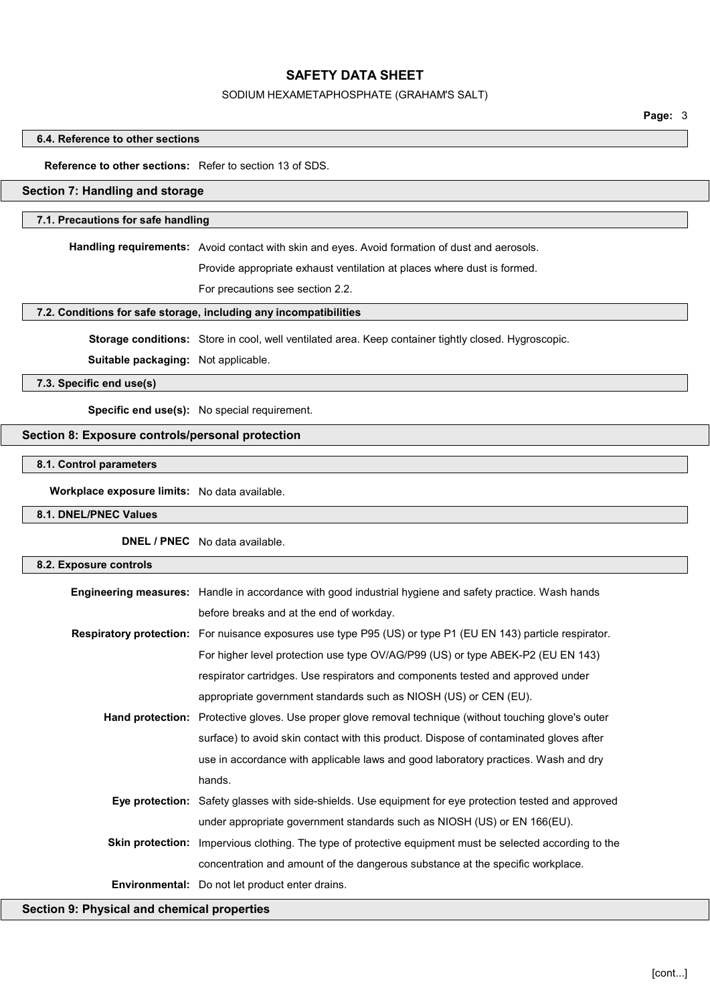#### SODIUM HEXAMETAPHOSPHATE (GRAHAM'S SALT)

Page: 3

#### 6.4. Reference to other sections

# Reference to other sections: Refer to section 13 of SDS.

#### Section 7: Handling and storage

#### 7.1. Precautions for safe handling

Handling requirements: Avoid contact with skin and eyes. Avoid formation of dust and aerosols.

Provide appropriate exhaust ventilation at places where dust is formed.

For precautions see section 2.2.

#### 7.2. Conditions for safe storage, including any incompatibilities

Storage conditions: Store in cool, well ventilated area. Keep container tightly closed. Hygroscopic.

Suitable packaging: Not applicable.

7.3. Specific end use(s)

Specific end use(s): No special requirement.

#### Section 8: Exposure controls/personal protection

### 8.1. Control parameters

Workplace exposure limits: No data available.

#### 8.1. DNEL/PNEC Values

DNEL / PNEC No data available.

| 8.2. Exposure controls |                                                                                                                     |
|------------------------|---------------------------------------------------------------------------------------------------------------------|
|                        | <b>Engineering measures:</b> Handle in accordance with good industrial hygiene and safety practice. Wash hands      |
|                        | before breaks and at the end of workday.                                                                            |
|                        | <b>Respiratory protection:</b> For nuisance exposures use type P95 (US) or type P1 (EU EN 143) particle respirator. |
|                        | For higher level protection use type OV/AG/P99 (US) or type ABEK-P2 (EU EN 143)                                     |
|                        | respirator cartridges. Use respirators and components tested and approved under                                     |
|                        | appropriate government standards such as NIOSH (US) or CEN (EU).                                                    |
|                        | <b>Hand protection:</b> Protective gloves. Use proper glove removal technique (without touching glove's outer       |
|                        | surface) to avoid skin contact with this product. Dispose of contaminated gloves after                              |
|                        | use in accordance with applicable laws and good laboratory practices. Wash and dry                                  |
|                        | hands.                                                                                                              |
|                        | <b>Eye protection:</b> Safety glasses with side-shields. Use equipment for eye protection tested and approved       |
|                        | under appropriate government standards such as NIOSH (US) or EN 166(EU).                                            |
|                        | Skin protection: Impervious clothing. The type of protective equipment must be selected according to the            |
|                        | concentration and amount of the dangerous substance at the specific workplace.                                      |
|                        | <b>Environmental:</b> Do not let product enter drains.                                                              |
|                        |                                                                                                                     |

Section 9: Physical and chemical properties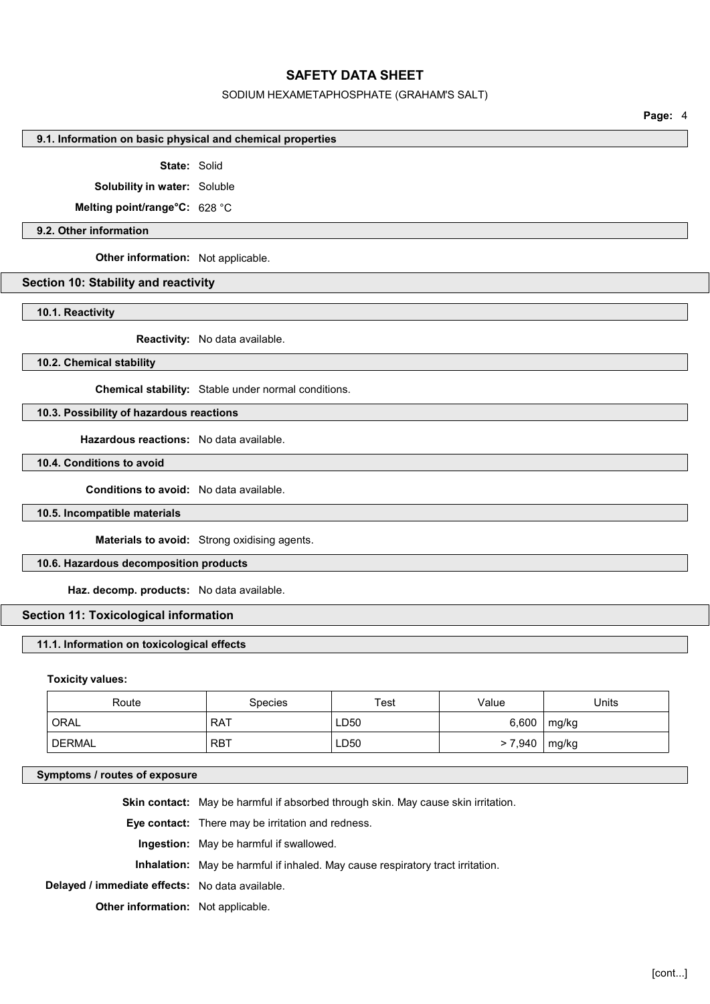#### SODIUM HEXAMETAPHOSPHATE (GRAHAM'S SALT)

Page: 4

#### 9.1. Information on basic physical and chemical properties

#### State: Solid

Solubility in water: Soluble

Melting point/range°C: 628 °C

#### 9.2. Other information

Other information: Not applicable.

### Section 10: Stability and reactivity

10.1. Reactivity

Reactivity: No data available.

10.2. Chemical stability

Chemical stability: Stable under normal conditions.

# 10.3. Possibility of hazardous reactions

Hazardous reactions: No data available.

# 10.4. Conditions to avoid

Conditions to avoid: No data available.

#### 10.5. Incompatible materials

Materials to avoid: Strong oxidising agents.

# 10.6. Hazardous decomposition products

Haz. decomp. products: No data available.

#### Section 11: Toxicological information

#### 11.1. Information on toxicological effects

#### Toxicity values:

| Route  | <b>Species</b> | Test             | Value  | Units |
|--------|----------------|------------------|--------|-------|
| ORAL   | <b>RAT</b>     | LD50             | 6,600  | mg/kg |
| DERMAL | <b>RBT</b>     | LD <sub>50</sub> | >7,940 | mg/kg |

#### Symptoms / routes of exposure

|                                                 | <b>Skin contact:</b> May be harmful if absorbed through skin. May cause skin irritation. |
|-------------------------------------------------|------------------------------------------------------------------------------------------|
|                                                 | <b>Eye contact:</b> There may be irritation and redness.                                 |
|                                                 | <b>Ingestion:</b> May be harmful if swallowed.                                           |
|                                                 | <b>Inhalation:</b> May be harmful if inhaled. May cause respiratory tract irritation.    |
| Delayed / immediate effects: No data available. |                                                                                          |
| <b>Other information:</b> Not applicable.       |                                                                                          |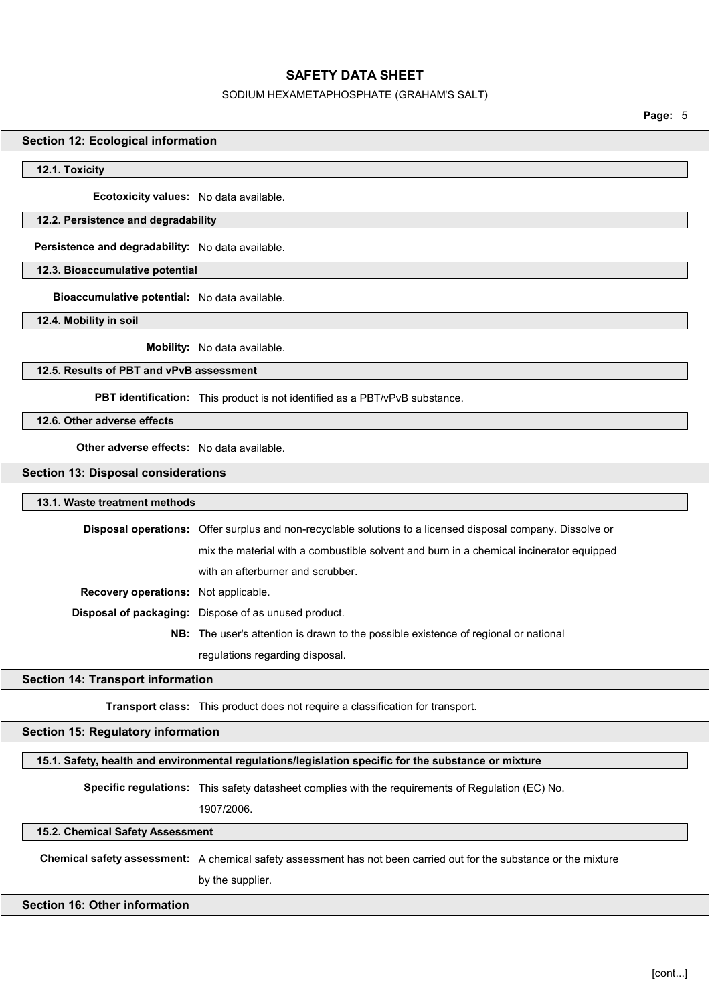#### SODIUM HEXAMETAPHOSPHATE (GRAHAM'S SALT)

Page: 5

#### Section 12: Ecological information

#### 12.1. Toxicity

Ecotoxicity values: No data available.

#### 12.2. Persistence and degradability

Persistence and degradability: No data available.

12.3. Bioaccumulative potential

Bioaccumulative potential: No data available.

12.4. Mobility in soil

Mobility: No data available.

### 12.5. Results of PBT and vPvB assessment

PBT identification: This product is not identified as a PBT/vPvB substance.

12.6. Other adverse effects

Other adverse effects: No data available.

#### Section 13: Disposal considerations

#### 13.1. Waste treatment methods

|                                             | <b>Disposal operations:</b> Offer surplus and non-recyclable solutions to a licensed disposal company. Dissolve or |
|---------------------------------------------|--------------------------------------------------------------------------------------------------------------------|
|                                             | mix the material with a combustible solvent and burn in a chemical incinerator equipped                            |
|                                             | with an afterburner and scrubber.                                                                                  |
| <b>Recovery operations:</b> Not applicable. |                                                                                                                    |
|                                             | Disposal of packaging: Dispose of as unused product.                                                               |
|                                             | <b>NB:</b> The user's attention is drawn to the possible existence of regional or national                         |
|                                             | regulations regarding disposal.                                                                                    |

#### Section 14: Transport information

Transport class: This product does not require a classification for transport.

#### Section 15: Regulatory information

#### 15.1. Safety, health and environmental regulations/legislation specific for the substance or mixture

Specific regulations: This safety datasheet complies with the requirements of Regulation (EC) No.

1907/2006.

#### 15.2. Chemical Safety Assessment

Chemical safety assessment: A chemical safety assessment has not been carried out for the substance or the mixture by the supplier.

#### Section 16: Other information